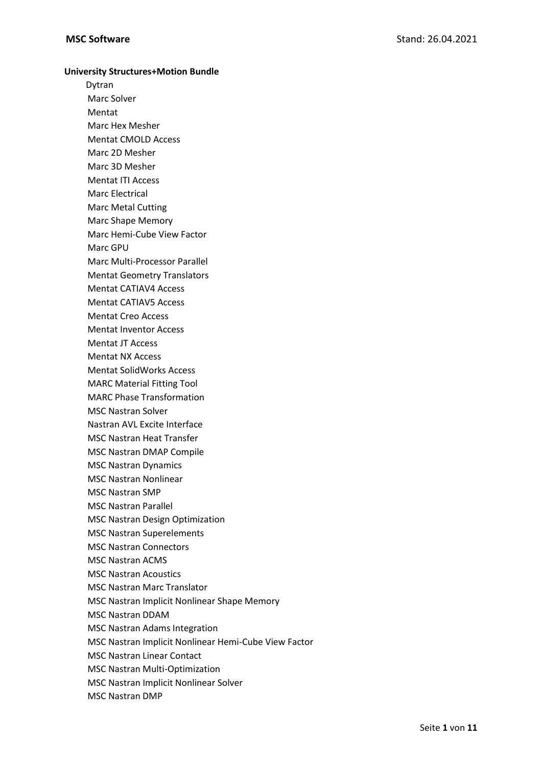## **University Structures+Motion Bundle**

Dytran Marc Solver Mentat Marc Hex Mesher Mentat CMOLD Access Marc 2D Mesher Marc 3D Mesher Mentat ITI Access Marc Electrical Marc Metal Cutting Marc Shape Memory Marc Hemi-Cube View Factor Marc GPU Marc Multi-Processor Parallel Mentat Geometry Translators Mentat CATIAV4 Access Mentat CATIAV5 Access Mentat Creo Access Mentat Inventor Access Mentat JT Access Mentat NX Access Mentat SolidWorks Access MARC Material Fitting Tool MARC Phase Transformation MSC Nastran Solver Nastran AVL Excite Interface MSC Nastran Heat Transfer MSC Nastran DMAP Compile MSC Nastran Dynamics MSC Nastran Nonlinear MSC Nastran SMP MSC Nastran Parallel MSC Nastran Design Optimization MSC Nastran Superelements MSC Nastran Connectors MSC Nastran ACMS MSC Nastran Acoustics MSC Nastran Marc Translator MSC Nastran Implicit Nonlinear Shape Memory MSC Nastran DDAM MSC Nastran Adams Integration MSC Nastran Implicit Nonlinear Hemi-Cube View Factor MSC Nastran Linear Contact MSC Nastran Multi-Optimization MSC Nastran Implicit Nonlinear Solver MSC Nastran DMP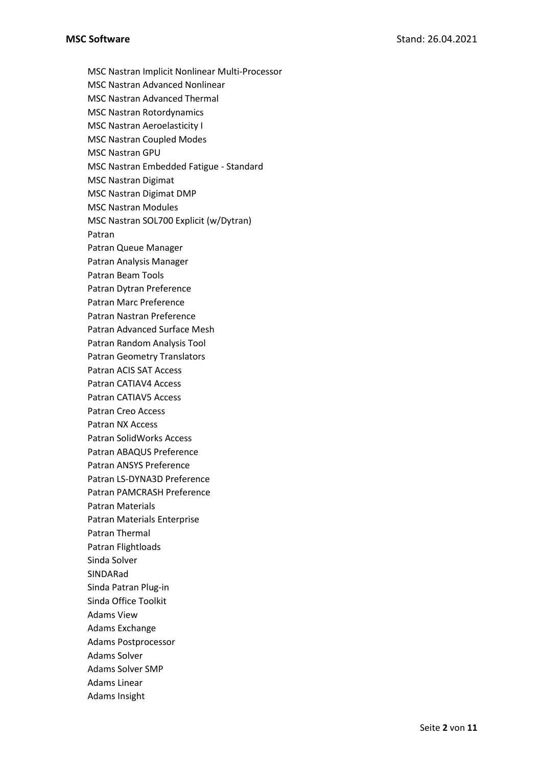MSC Nastran Implicit Nonlinear Multi-Processor MSC Nastran Advanced Nonlinear MSC Nastran Advanced Thermal MSC Nastran Rotordynamics MSC Nastran Aeroelasticity I MSC Nastran Coupled Modes MSC Nastran GPU MSC Nastran Embedded Fatigue - Standard MSC Nastran Digimat MSC Nastran Digimat DMP MSC Nastran Modules MSC Nastran SOL700 Explicit (w/Dytran) Patran Patran Queue Manager Patran Analysis Manager Patran Beam Tools Patran Dytran Preference Patran Marc Preference Patran Nastran Preference Patran Advanced Surface Mesh Patran Random Analysis Tool Patran Geometry Translators Patran ACIS SAT Access Patran CATIAV4 Access Patran CATIAV5 Access Patran Creo Access Patran NX Access Patran SolidWorks Access Patran ABAQUS Preference Patran ANSYS Preference Patran LS-DYNA3D Preference Patran PAMCRASH Preference Patran Materials Patran Materials Enterprise Patran Thermal Patran Flightloads Sinda Solver SINDARad Sinda Patran Plug-in Sinda Office Toolkit Adams View Adams Exchange Adams Postprocessor Adams Solver Adams Solver SMP Adams Linear Adams Insight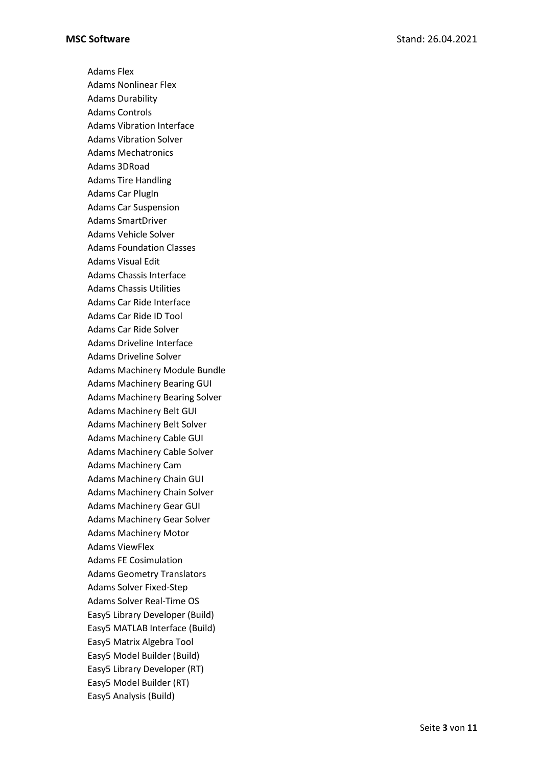Adams Flex Adams Nonlinear Flex Adams Durability Adams Controls Adams Vibration Interface Adams Vibration Solver Adams Mechatronics Adams 3DRoad Adams Tire Handling Adams Car PlugIn Adams Car Suspension Adams SmartDriver Adams Vehicle Solver Adams Foundation Classes Adams Visual Edit Adams Chassis Interface Adams Chassis Utilities Adams Car Ride Interface Adams Car Ride ID Tool Adams Car Ride Solver Adams Driveline Interface Adams Driveline Solver Adams Machinery Module Bundle Adams Machinery Bearing GUI Adams Machinery Bearing Solver Adams Machinery Belt GUI Adams Machinery Belt Solver Adams Machinery Cable GUI Adams Machinery Cable Solver Adams Machinery Cam Adams Machinery Chain GUI Adams Machinery Chain Solver Adams Machinery Gear GUI Adams Machinery Gear Solver Adams Machinery Motor Adams ViewFlex Adams FE Cosimulation Adams Geometry Translators Adams Solver Fixed-Step Adams Solver Real-Time OS Easy5 Library Developer (Build) Easy5 MATLAB Interface (Build) Easy5 Matrix Algebra Tool Easy5 Model Builder (Build) Easy5 Library Developer (RT) Easy5 Model Builder (RT) Easy5 Analysis (Build)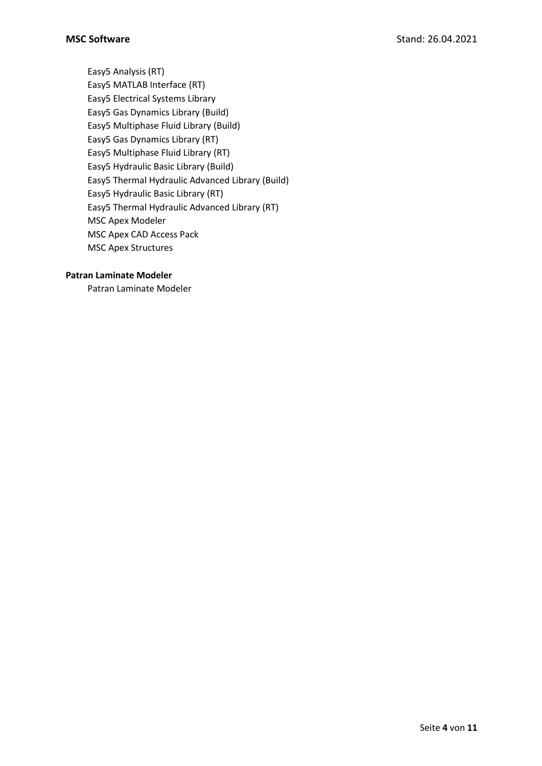Easy5 Analysis (RT) Easy5 MATLAB Interface (RT) Easy5 Electrical Systems Library Easy5 Gas Dynamics Library (Build) Easy5 Multiphase Fluid Library (Build) Easy5 Gas Dynamics Library (RT) Easy5 Multiphase Fluid Library (RT) Easy5 Hydraulic Basic Library (Build) Easy5 Thermal Hydraulic Advanced Library (Build) Easy5 Hydraulic Basic Library (RT) Easy5 Thermal Hydraulic Advanced Library (RT) MSC Apex Modeler MSC Apex CAD Access Pack MSC Apex Structures

## **Patran Laminate Modeler**

Patran Laminate Modeler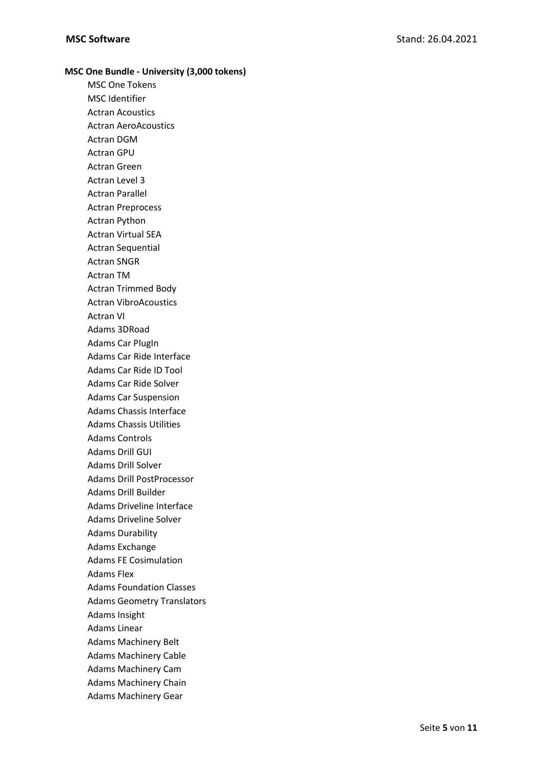## **MSC One Bundle - University (3,000 tokens)** MSC One Tokens MSC Identifier Actran Acoustics Actran AeroAcoustics Actran DGM Actran GPU Actran Green Actran Level 3 Actran Parallel Actran Preprocess Actran Python Actran Virtual SEA Actran Sequential Actran SNGR Actran TM Actran Trimmed Body Actran VibroAcoustics Actran VI Adams 3DRoad Adams Car PlugIn Adams Car Ride Interface Adams Car Ride ID Tool Adams Car Ride Solver Adams Car Suspension Adams Chassis Interface Adams Chassis Utilities Adams Controls Adams Drill GUI Adams Drill Solver Adams Drill PostProcessor Adams Drill Builder Adams Driveline Interface Adams Driveline Solver Adams Durability Adams Exchange Adams FE Cosimulation Adams Flex Adams Foundation Classes Adams Geometry Translators Adams Insight Adams Linear Adams Machinery Belt Adams Machinery Cable Adams Machinery Cam Adams Machinery Chain Adams Machinery Gear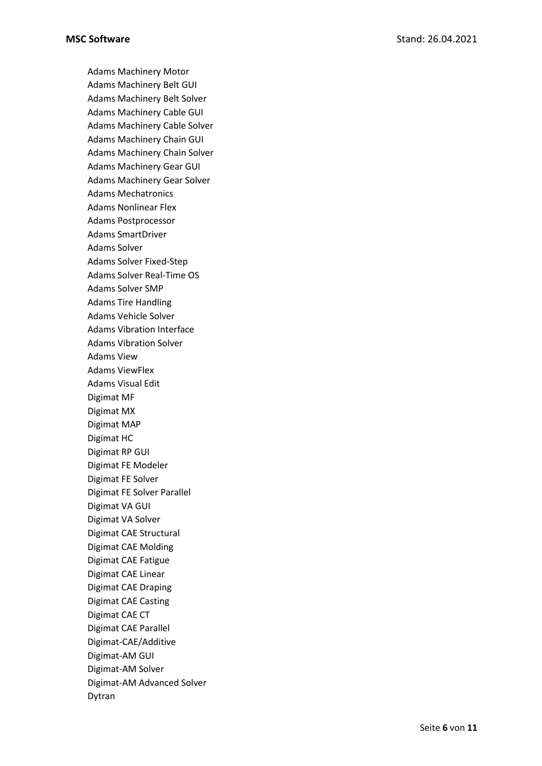Adams Machinery Motor Adams Machinery Belt GUI Adams Machinery Belt Solver Adams Machinery Cable GUI Adams Machinery Cable Solver Adams Machinery Chain GUI Adams Machinery Chain Solver Adams Machinery Gear GUI Adams Machinery Gear Solver Adams Mechatronics Adams Nonlinear Flex Adams Postprocessor Adams SmartDriver Adams Solver Adams Solver Fixed-Step Adams Solver Real-Time OS Adams Solver SMP Adams Tire Handling Adams Vehicle Solver Adams Vibration Interface Adams Vibration Solver Adams View Adams ViewFlex Adams Visual Edit Digimat MF Digimat MX Digimat MAP Digimat HC Digimat RP GUI Digimat FE Modeler Digimat FE Solver Digimat FE Solver Parallel Digimat VA GUI Digimat VA Solver Digimat CAE Structural Digimat CAE Molding Digimat CAE Fatigue Digimat CAE Linear Digimat CAE Draping Digimat CAE Casting Digimat CAE CT Digimat CAE Parallel Digimat-CAE/Additive Digimat-AM GUI Digimat-AM Solver Digimat-AM Advanced Solver Dytran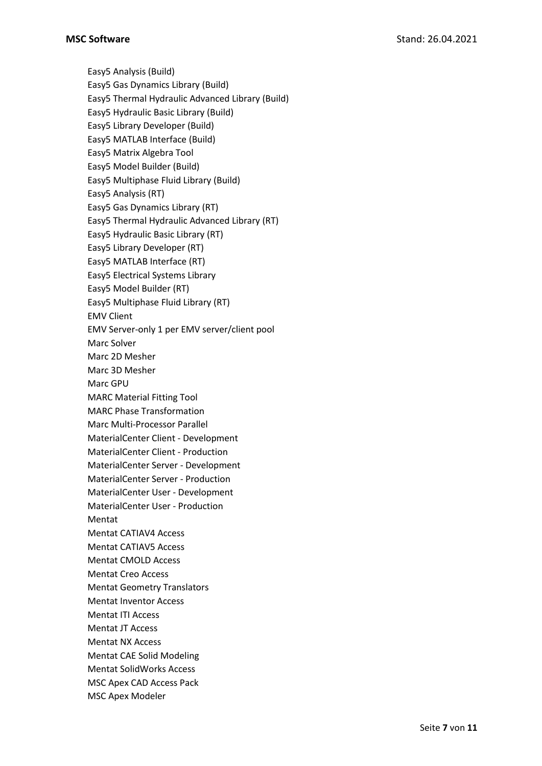Easy5 Analysis (Build) Easy5 Gas Dynamics Library (Build) Easy5 Thermal Hydraulic Advanced Library (Build) Easy5 Hydraulic Basic Library (Build) Easy5 Library Developer (Build) Easy5 MATLAB Interface (Build) Easy5 Matrix Algebra Tool Easy5 Model Builder (Build) Easy5 Multiphase Fluid Library (Build) Easy5 Analysis (RT) Easy5 Gas Dynamics Library (RT) Easy5 Thermal Hydraulic Advanced Library (RT) Easy5 Hydraulic Basic Library (RT) Easy5 Library Developer (RT) Easy5 MATLAB Interface (RT) Easy5 Electrical Systems Library Easy5 Model Builder (RT) Easy5 Multiphase Fluid Library (RT) EMV Client EMV Server-only 1 per EMV server/client pool Marc Solver Marc 2D Mesher Marc 3D Mesher Marc GPU MARC Material Fitting Tool MARC Phase Transformation Marc Multi-Processor Parallel MaterialCenter Client - Development MaterialCenter Client - Production MaterialCenter Server - Development MaterialCenter Server - Production MaterialCenter User - Development MaterialCenter User - Production Mentat Mentat CATIAV4 Access Mentat CATIAV5 Access Mentat CMOLD Access Mentat Creo Access Mentat Geometry Translators Mentat Inventor Access Mentat ITI Access Mentat JT Access Mentat NX Access Mentat CAE Solid Modeling Mentat SolidWorks Access MSC Apex CAD Access Pack MSC Apex Modeler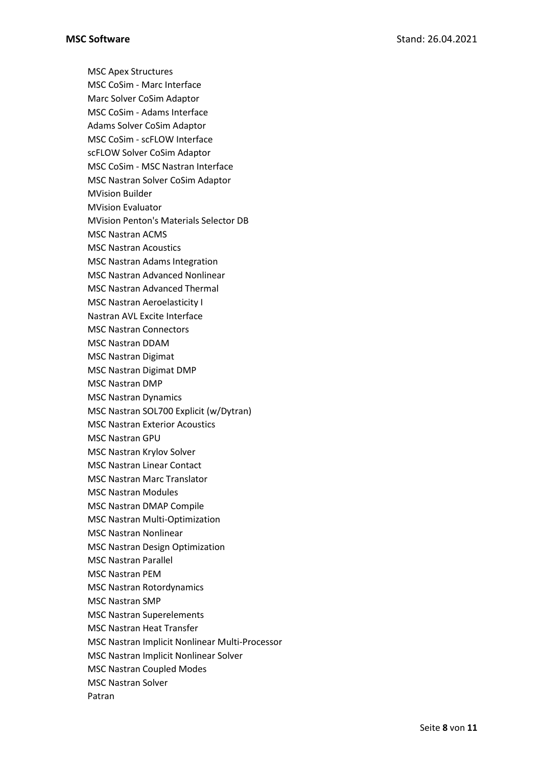MSC Apex Structures MSC CoSim - Marc Interface Marc Solver CoSim Adaptor MSC CoSim - Adams Interface Adams Solver CoSim Adaptor MSC CoSim - scFLOW Interface scFLOW Solver CoSim Adaptor MSC CoSim - MSC Nastran Interface MSC Nastran Solver CoSim Adaptor MVision Builder MVision Evaluator MVision Penton's Materials Selector DB MSC Nastran ACMS MSC Nastran Acoustics MSC Nastran Adams Integration MSC Nastran Advanced Nonlinear MSC Nastran Advanced Thermal MSC Nastran Aeroelasticity I Nastran AVL Excite Interface MSC Nastran Connectors MSC Nastran DDAM MSC Nastran Digimat MSC Nastran Digimat DMP MSC Nastran DMP MSC Nastran Dynamics MSC Nastran SOL700 Explicit (w/Dytran) MSC Nastran Exterior Acoustics MSC Nastran GPU MSC Nastran Krylov Solver MSC Nastran Linear Contact MSC Nastran Marc Translator MSC Nastran Modules MSC Nastran DMAP Compile MSC Nastran Multi-Optimization MSC Nastran Nonlinear MSC Nastran Design Optimization MSC Nastran Parallel MSC Nastran PEM MSC Nastran Rotordynamics MSC Nastran SMP MSC Nastran Superelements MSC Nastran Heat Transfer MSC Nastran Implicit Nonlinear Multi-Processor MSC Nastran Implicit Nonlinear Solver MSC Nastran Coupled Modes MSC Nastran Solver Patran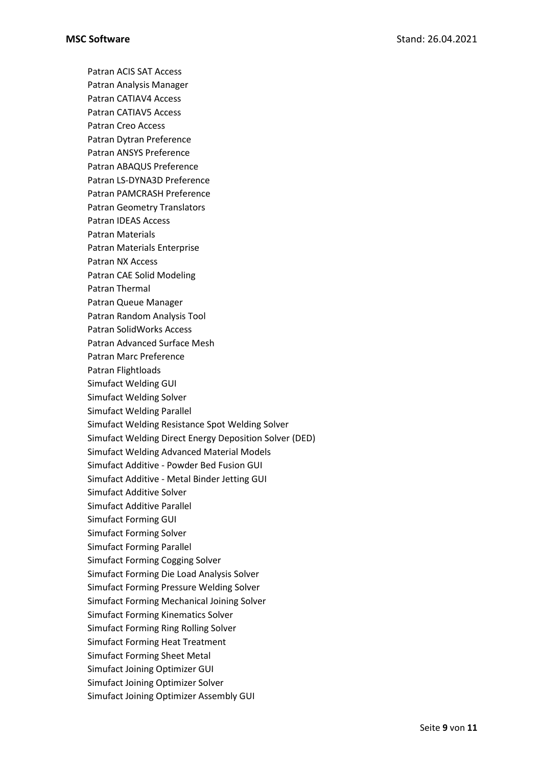Patran ACIS SAT Access Patran Analysis Manager Patran CATIAV4 Access Patran CATIAV5 Access Patran Creo Access Patran Dytran Preference Patran ANSYS Preference Patran ABAQUS Preference Patran LS-DYNA3D Preference Patran PAMCRASH Preference Patran Geometry Translators Patran IDEAS Access Patran Materials Patran Materials Enterprise Patran NX Access Patran CAE Solid Modeling Patran Thermal Patran Queue Manager Patran Random Analysis Tool Patran SolidWorks Access Patran Advanced Surface Mesh Patran Marc Preference Patran Flightloads Simufact Welding GUI Simufact Welding Solver Simufact Welding Parallel Simufact Welding Resistance Spot Welding Solver Simufact Welding Direct Energy Deposition Solver (DED) Simufact Welding Advanced Material Models Simufact Additive - Powder Bed Fusion GUI Simufact Additive - Metal Binder Jetting GUI Simufact Additive Solver Simufact Additive Parallel Simufact Forming GUI Simufact Forming Solver Simufact Forming Parallel Simufact Forming Cogging Solver Simufact Forming Die Load Analysis Solver Simufact Forming Pressure Welding Solver Simufact Forming Mechanical Joining Solver Simufact Forming Kinematics Solver Simufact Forming Ring Rolling Solver Simufact Forming Heat Treatment Simufact Forming Sheet Metal Simufact Joining Optimizer GUI Simufact Joining Optimizer Solver Simufact Joining Optimizer Assembly GUI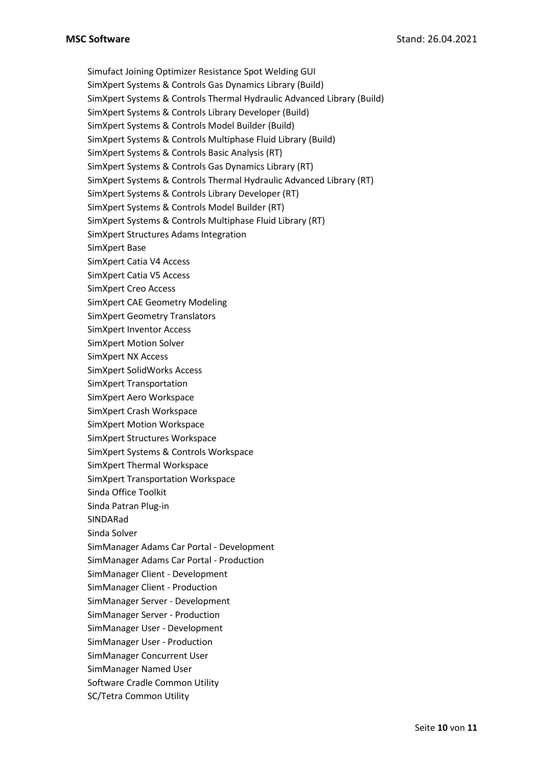Simufact Joining Optimizer Resistance Spot Welding GUI SimXpert Systems & Controls Gas Dynamics Library (Build) SimXpert Systems & Controls Thermal Hydraulic Advanced Library (Build) SimXpert Systems & Controls Library Developer (Build) SimXpert Systems & Controls Model Builder (Build) SimXpert Systems & Controls Multiphase Fluid Library (Build) SimXpert Systems & Controls Basic Analysis (RT) SimXpert Systems & Controls Gas Dynamics Library (RT) SimXpert Systems & Controls Thermal Hydraulic Advanced Library (RT) SimXpert Systems & Controls Library Developer (RT) SimXpert Systems & Controls Model Builder (RT) SimXpert Systems & Controls Multiphase Fluid Library (RT) SimXpert Structures Adams Integration SimXpert Base SimXpert Catia V4 Access SimXpert Catia V5 Access SimXpert Creo Access SimXpert CAE Geometry Modeling SimXpert Geometry Translators SimXpert Inventor Access SimXpert Motion Solver SimXpert NX Access SimXpert SolidWorks Access SimXpert Transportation SimXpert Aero Workspace SimXpert Crash Workspace SimXpert Motion Workspace SimXpert Structures Workspace SimXpert Systems & Controls Workspace SimXpert Thermal Workspace SimXpert Transportation Workspace Sinda Office Toolkit Sinda Patran Plug-in SINDARad Sinda Solver SimManager Adams Car Portal - Development SimManager Adams Car Portal - Production SimManager Client - Development SimManager Client - Production SimManager Server - Development SimManager Server - Production SimManager User - Development SimManager User - Production SimManager Concurrent User SimManager Named User Software Cradle Common Utility SC/Tetra Common Utility